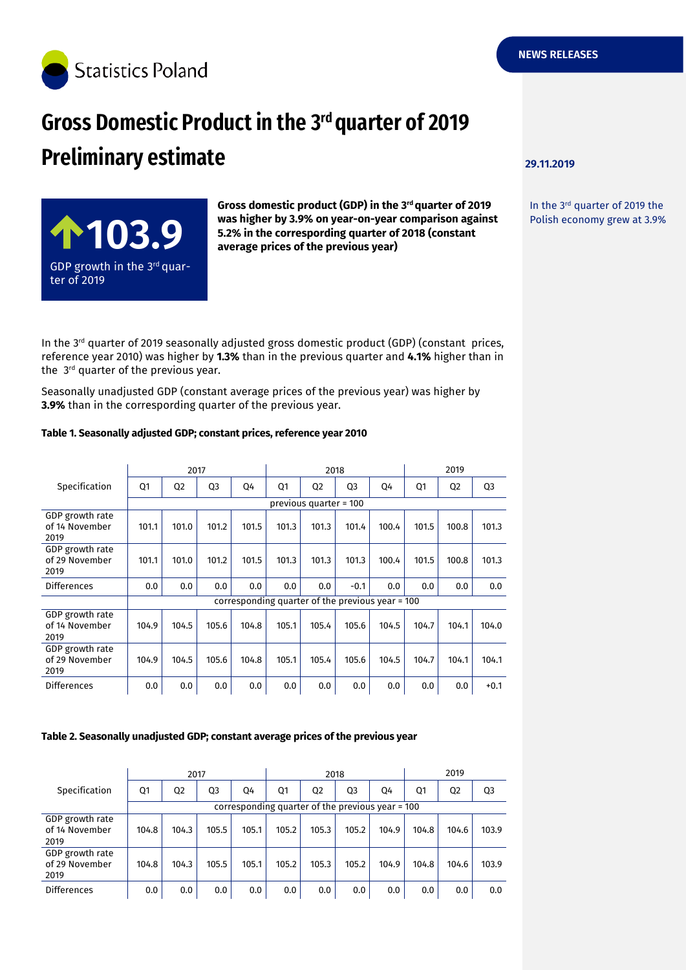

### **29.11.2019**

In the 3rd quarter of 2019 the Polish economy grew at 3.9%



**Gross domestic product (GDP) in the 3rd quarter of 2019 was higher by 3.9% on year-on-year comparison against 5.2% in the correspording quarter of 2018 (constant average prices of the previous year)**

In the  $3<sup>rd</sup>$  quarter of 2019 seasonally adjusted gross domestic product (GDP) (constant prices, reference year 2010) was higher by **1.3%** than in the previous quarter and **4.1%** higher than in the 3<sup>rd</sup> quarter of the previous year.

Seasonally unadjusted GDP (constant average prices of the previous year) was higher by **3.9%** than in the correspording quarter of the previous year.

#### **Table 1. Seasonally adjusted GDP; constant prices, reference year 2010**

|                                           | 2017                                             |                |                |       | 2018  |                |                |       | 2019  |                |                |  |
|-------------------------------------------|--------------------------------------------------|----------------|----------------|-------|-------|----------------|----------------|-------|-------|----------------|----------------|--|
| Specification                             | Q1                                               | Q <sub>2</sub> | Q <sub>3</sub> | Q4    | Q1    | Q <sub>2</sub> | Q <sub>3</sub> | Q4    | Q1    | Q <sub>2</sub> | Q <sub>3</sub> |  |
|                                           | previous quarter = 100                           |                |                |       |       |                |                |       |       |                |                |  |
| GDP growth rate<br>of 14 November<br>2019 | 101.1                                            | 101.0          | 101.2          | 101.5 | 101.3 | 101.3          | 101.4          | 100.4 | 101.5 | 100.8          | 101.3          |  |
| GDP growth rate<br>of 29 November<br>2019 | 101.1                                            | 101.0          | 101.2          | 101.5 | 101.3 | 101.3          | 101.3          | 100.4 | 101.5 | 100.8          | 101.3          |  |
| <b>Differences</b>                        | 0.0                                              | 0.0            | 0.0            | 0.0   | 0.0   | 0.0            | $-0.1$         | 0.0   | 0.0   | 0.0            | 0.0            |  |
|                                           | corresponding quarter of the previous year = 100 |                |                |       |       |                |                |       |       |                |                |  |
| GDP growth rate<br>of 14 November<br>2019 | 104.9                                            | 104.5          | 105.6          | 104.8 | 105.1 | 105.4          | 105.6          | 104.5 | 104.7 | 104.1          | 104.0          |  |
| GDP growth rate<br>of 29 November<br>2019 | 104.9                                            | 104.5          | 105.6          | 104.8 | 105.1 | 105.4          | 105.6          | 104.5 | 104.7 | 104.1          | 104.1          |  |
| <b>Differences</b>                        | 0.0                                              | 0.0            | 0.0            | 0.0   | 0.0   | 0.0            | 0.0            | 0.0   | 0.0   | 0.0            | $+0.1$         |  |

#### **Table 2. Seasonally unadjusted GDP; constant average prices of the previous year**

|                                           | 2017                                             |                |                |       | 2018  |                |       |       | 2019  |                |                |
|-------------------------------------------|--------------------------------------------------|----------------|----------------|-------|-------|----------------|-------|-------|-------|----------------|----------------|
| Specification                             | Q1                                               | Q <sub>2</sub> | Q <sub>3</sub> | 04    | Q1    | Q <sub>2</sub> | Q3    | 04    | Q1    | Q <sub>2</sub> | Q <sub>3</sub> |
|                                           | corresponding quarter of the previous year = 100 |                |                |       |       |                |       |       |       |                |                |
| GDP growth rate<br>of 14 November<br>2019 | 104.8                                            | 104.3          | 105.5          | 105.1 | 105.2 | 105.3          | 105.2 | 104.9 | 104.8 | 104.6          | 103.9          |
| GDP growth rate<br>of 29 November<br>2019 | 104.8                                            | 104.3          | 105.5          | 105.1 | 105.2 | 105.3          | 105.2 | 104.9 | 104.8 | 104.6          | 103.9          |
| Differences                               | 0.0                                              | 0.0            | 0.0            | 0.0   | 0.0   | 0.0            | 0.0   | 0.0   | 0.0   | 0.0            | 0.0            |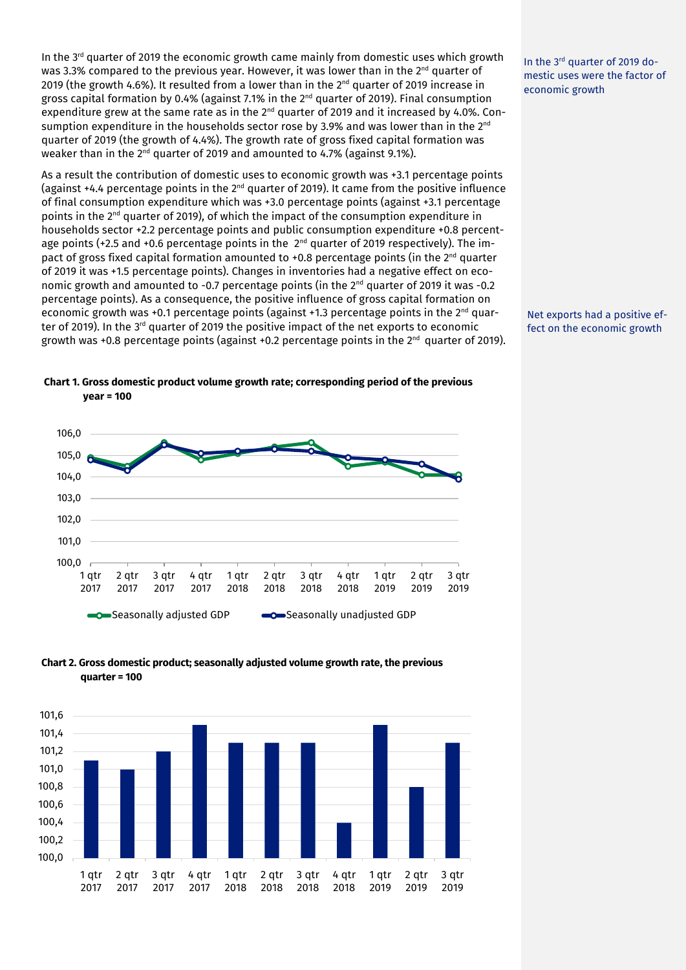In the  $3<sup>rd</sup>$  quarter of 2019 the economic growth came mainly from domestic uses which growth was 3.3% compared to the previous year. However, it was lower than in the  $2^{nd}$  quarter of 2019 (the growth 4.6%). It resulted from a lower than in the  $2<sup>nd</sup>$  quarter of 2019 increase in gross capital formation by 0.4% (against 7.1% in the  $2<sup>nd</sup>$  quarter of 2019). Final consumption expenditure grew at the same rate as in the  $2<sup>nd</sup>$  quarter of 2019 and it increased by 4.0%. Consumption expenditure in the households sector rose by 3.9% and was lower than in the  $2<sup>nd</sup>$ quarter of 2019 (the growth of 4.4%). The growth rate of gross fixed capital formation was weaker than in the 2<sup>nd</sup> quarter of 2019 and amounted to 4.7% (against 9.1%).

As a result the contribution of domestic uses to economic growth was +3.1 percentage points (against +4.4 percentage points in the  $2^{nd}$  quarter of 2019). It came from the positive influence of final consumption expenditure which was +3.0 percentage points (against +3.1 percentage points in the  $2<sup>nd</sup>$  quarter of 2019), of which the impact of the consumption expenditure in households sector +2.2 percentage points and public consumption expenditure +0.8 percentage points (+2.5 and +0.6 percentage points in the 2<sup>nd</sup> quarter of 2019 respectively). The impact of gross fixed capital formation amounted to +0.8 percentage points (in the  $2^{nd}$  quarter of 2019 it was +1.5 percentage points). Changes in inventories had a negative effect on economic growth and amounted to -0.7 percentage points (in the 2<sup>nd</sup> quarter of 2019 it was -0.2 percentage points). As a consequence, the positive influence of gross capital formation on economic growth was +0.1 percentage points (against +1.3 percentage points in the  $2^{nd}$  quarter of 2019). In the 3rd quarter of 2019 the positive impact of the net exports to economic growth was +0.8 percentage points (against +0.2 percentage points in the  $2<sup>nd</sup>$  quarter of 2019).

100.0 101,0 102,0 103,0 104,0 105,0 106,0 1 qtr 2017 2 qtr 2017 3 qtr 2017 4 qtr 2017 1 qtr 2018 2 qtr 2018 3 qtr 2018 4 qtr 2018 1 qtr 2019 2 qtr 2019 3 qtr 2019  $\bigcirc$ Seasonally adjusted GDP  $\bigcirc$ Seasonally unadjusted GDP

**Chart 1. Gross domestic product volume growth rate; corresponding period of the previous** 

**year = 100**

**Chart 2. Gross domestic product; seasonally adjusted volume growth rate, the previous quarter = 100**



In the 3rd quarter of 2019 domestic uses were the factor of economic growth

Net exports had a positive effect on the economic growth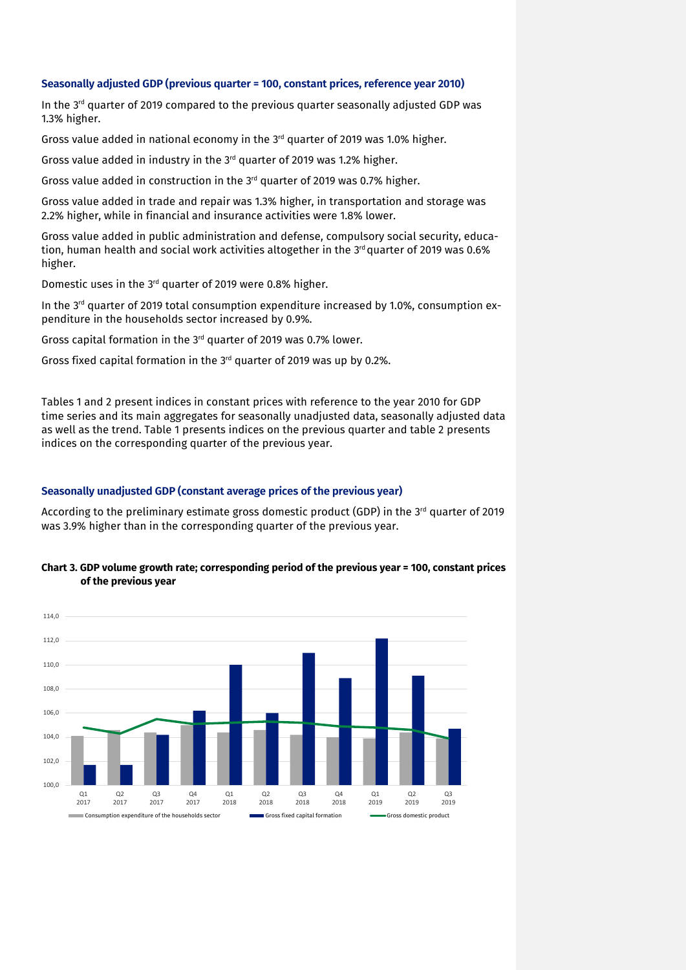#### **Seasonally adjusted GDP (previous quarter = 100, constant prices, reference year 2010)**

In the  $3<sup>rd</sup>$  quarter of 2019 compared to the previous quarter seasonally adjusted GDP was 1.3% higher.

Gross value added in national economy in the 3<sup>rd</sup> quarter of 2019 was 1.0% higher.

Gross value added in industry in the 3rd quarter of 2019 was 1.2% higher.

Gross value added in construction in the 3rd quarter of 2019 was 0.7% higher.

Gross value added in trade and repair was 1.3% higher, in transportation and storage was 2.2% higher, while in financial and insurance activities were 1.8% lower.

Gross value added in public administration and defense, compulsory social security, education, human health and social work activities altogether in the  $3<sup>rd</sup>$  quarter of 2019 was 0.6% higher.

Domestic uses in the 3rd quarter of 2019 were 0.8% higher.

In the  $3<sup>rd</sup>$  quarter of 2019 total consumption expenditure increased by 1.0%, consumption expenditure in the households sector increased by 0.9%.

Gross capital formation in the 3rd quarter of 2019 was 0.7% lower.

Gross fixed capital formation in the 3rd quarter of 2019 was up by 0.2%.

Tables 1 and 2 present indices in constant prices with reference to the year 2010 for GDP time series and its main aggregates for seasonally unadjusted data, seasonally adjusted data as well as the trend. Table 1 presents indices on the previous quarter and table 2 presents indices on the corresponding quarter of the previous year.

#### **Seasonally unadjusted GDP (constant average prices of the previous year)**

According to the preliminary estimate gross domestic product (GDP) in the  $3<sup>rd</sup>$  quarter of 2019 was 3.9% higher than in the corresponding quarter of the previous year.



nption expenditure of the households sector Gross fixed capital formation Gross domestic product

#### **Chart 3. GDP volume growth rate; corresponding period of the previous year = 100, constant prices of the previous year**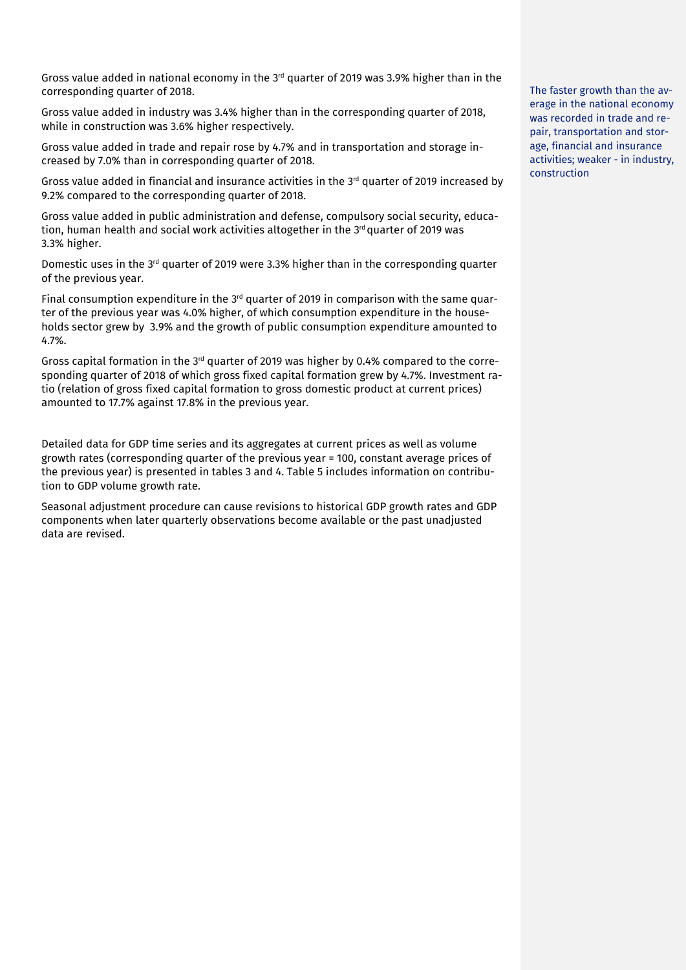Gross value added in national economy in the  $3<sup>rd</sup>$  quarter of 2019 was 3.9% higher than in the corresponding quarter of 2018.

Gross value added in industry was 3.4% higher than in the corresponding quarter of 2018, while in construction was 3.6% higher respectively.

Gross value added in trade and repair rose by 4.7% and in transportation and storage increased by 7.0% than in corresponding quarter of 2018.

Gross value added in financial and insurance activities in the  $3<sup>rd</sup>$  quarter of 2019 increased by 9.2% compared to the corresponding quarter of 2018.

Gross value added in public administration and defense, compulsory social security, education, human health and social work activities altogether in the  $3<sup>rd</sup>$  quarter of 2019 was 3.3% higher.

Domestic uses in the  $3<sup>rd</sup>$  quarter of 2019 were 3.3% higher than in the corresponding quarter of the previous year.

Final consumption expenditure in the  $3<sup>rd</sup>$  quarter of 2019 in comparison with the same quarter of the previous year was 4.0% higher, of which consumption expenditure in the households sector grew by 3.9% and the growth of public consumption expenditure amounted to 4.7%.

Gross capital formation in the  $3<sup>rd</sup>$  quarter of 2019 was higher by 0.4% compared to the corresponding quarter of 2018 of which gross fixed capital formation grew by 4.7%. Investment ratio (relation of gross fixed capital formation to gross domestic product at current prices) amounted to 17.7% against 17.8% in the previous year.

Detailed data for GDP time series and its aggregates at current prices as well as volume growth rates (corresponding quarter of the previous year = 100, constant average prices of the previous year) is presented in tables 3 and 4. Table 5 includes information on contribution to GDP volume growth rate.

Seasonal adjustment procedure can cause revisions to historical GDP growth rates and GDP components when later quarterly observations become available or the past unadjusted data are revised.

The faster growth than the average in the national economy was recorded in trade and repair, transportation and storage, financial and insurance activities; weaker - in industry, construction